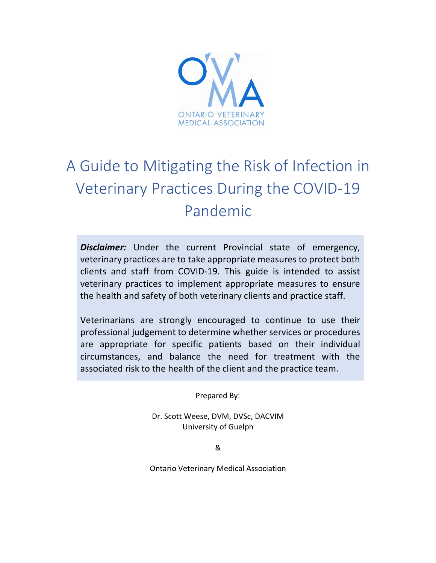

# A Guide to Mitigating the Risk of Infection in Veterinary Practices During the COVID-19 Pandemic

**Disclaimer:** Under the current Provincial state of emergency, veterinary practices are to take appropriate measures to protect both clients and staff from COVID-19. This guide is intended to assist veterinary practices to implement appropriate measures to ensure the health and safety of both veterinary clients and practice staff.

Veterinarians are strongly encouraged to continue to use their professional judgement to determine whether services or procedures are appropriate for specific patients based on their individual circumstances, and balance the need for treatment with the associated risk to the health of the client and the practice team.

Prepared By:

Dr. Scott Weese, DVM, DVSc, DACVIM University of Guelph

&

Ontario Veterinary Medical Association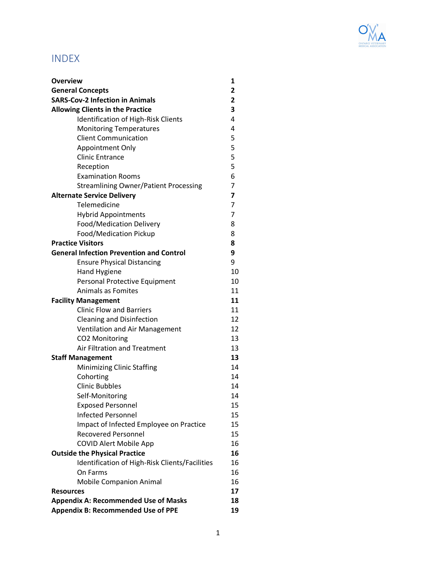

# INDEX

| <b>Overview</b>                                 | 1  |
|-------------------------------------------------|----|
| <b>General Concepts</b>                         | 2  |
| <b>SARS-Cov-2 Infection in Animals</b>          | 2  |
| <b>Allowing Clients in the Practice</b>         | 3  |
| <b>Identification of High-Risk Clients</b>      | 4  |
| <b>Monitoring Temperatures</b>                  | 4  |
| <b>Client Communication</b>                     | 5  |
| <b>Appointment Only</b>                         | 5  |
| <b>Clinic Entrance</b>                          | 5  |
| Reception                                       | 5  |
| <b>Examination Rooms</b>                        | 6  |
| <b>Streamlining Owner/Patient Processing</b>    | 7  |
| <b>Alternate Service Delivery</b>               | 7  |
| Telemedicine                                    | 7  |
| <b>Hybrid Appointments</b>                      | 7  |
| <b>Food/Medication Delivery</b>                 | 8  |
| Food/Medication Pickup                          | 8  |
| <b>Practice Visitors</b>                        | 8  |
| <b>General Infection Prevention and Control</b> | 9  |
| <b>Ensure Physical Distancing</b>               | 9  |
| <b>Hand Hygiene</b>                             | 10 |
| Personal Protective Equipment                   | 10 |
| Animals as Fomites                              | 11 |
| <b>Facility Management</b>                      | 11 |
| <b>Clinic Flow and Barriers</b>                 | 11 |
| <b>Cleaning and Disinfection</b>                | 12 |
| <b>Ventilation and Air Management</b>           | 12 |
| <b>CO2 Monitoring</b>                           | 13 |
| Air Filtration and Treatment                    | 13 |
| <b>Staff Management</b>                         | 13 |
| Minimizing Clinic Staffing                      | 14 |
| Cohorting                                       | 14 |
| <b>Clinic Bubbles</b>                           | 14 |
| Self-Monitoring                                 | 14 |
| <b>Exposed Personnel</b>                        | 15 |
| <b>Infected Personnel</b>                       | 15 |
| Impact of Infected Employee on Practice         | 15 |
| <b>Recovered Personnel</b>                      | 15 |
| <b>COVID Alert Mobile App</b>                   | 16 |
| <b>Outside the Physical Practice</b>            | 16 |
| Identification of High-Risk Clients/Facilities  | 16 |
| On Farms                                        | 16 |
| <b>Mobile Companion Animal</b>                  | 16 |
| <b>Resources</b>                                | 17 |
| <b>Appendix A: Recommended Use of Masks</b>     | 18 |
| <b>Appendix B: Recommended Use of PPE</b>       | 19 |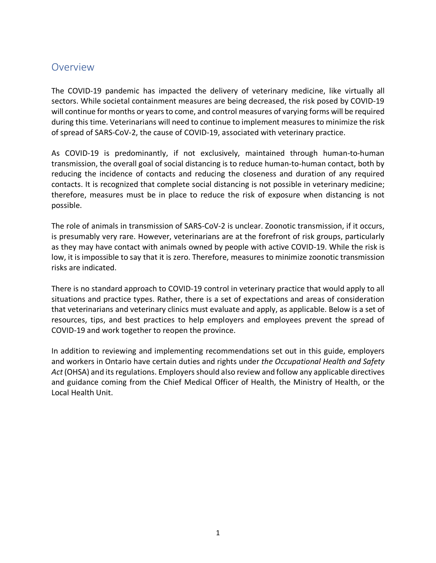# Overview

The COVID-19 pandemic has impacted the delivery of veterinary medicine, like virtually all sectors. While societal containment measures are being decreased, the risk posed by COVID-19 will continue for months or years to come, and control measures of varying forms will be required during this time. Veterinarians will need to continue to implement measures to minimize the risk of spread of SARS-CoV-2, the cause of COVID-19, associated with veterinary practice.

As COVID-19 is predominantly, if not exclusively, maintained through human-to-human transmission, the overall goal of social distancing is to reduce human-to-human contact, both by reducing the incidence of contacts and reducing the closeness and duration of any required contacts. It is recognized that complete social distancing is not possible in veterinary medicine; therefore, measures must be in place to reduce the risk of exposure when distancing is not possible.

The role of animals in transmission of SARS-CoV-2 is unclear. Zoonotic transmission, if it occurs, is presumably very rare. However, veterinarians are at the forefront of risk groups, particularly as they may have contact with animals owned by people with active COVID-19. While the risk is low, it is impossible to say that it is zero. Therefore, measures to minimize zoonotic transmission risks are indicated.

There is no standard approach to COVID-19 control in veterinary practice that would apply to all situations and practice types. Rather, there is a set of expectations and areas of consideration that veterinarians and veterinary clinics must evaluate and apply, as applicable. Below is a set of resources, tips, and best practices to help employers and employees prevent the spread of COVID-19 and work together to reopen the province.

In addition to reviewing and implementing recommendations set out in this guide, employers and workers in Ontario have certain duties and rights under *the Occupational Health and Safety Act* (OHSA) and its regulations. Employers should also review and follow any applicable directives and guidance coming from the Chief Medical Officer of Health, the Ministry of Health, or the Local Health Unit.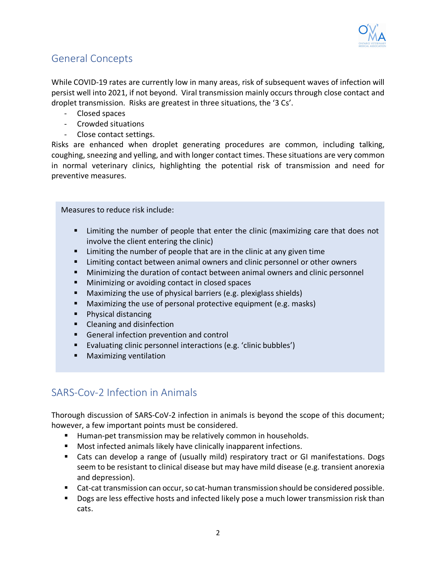

# General Concepts

While COVID-19 rates are currently low in many areas, risk of subsequent waves of infection will persist well into 2021, if not beyond. Viral transmission mainly occurs through close contact and droplet transmission. Risks are greatest in three situations, the '3 Cs'.

- Closed spaces
- Crowded situations
- Close contact settings.

Risks are enhanced when droplet generating procedures are common, including talking, coughing, sneezing and yelling, and with longer contact times. These situations are very common in normal veterinary clinics, highlighting the potential risk of transmission and need for preventive measures.

Measures to reduce risk include:

- Limiting the number of people that enter the clinic (maximizing care that does not involve the client entering the clinic)
- Limiting the number of people that are in the clinic at any given time
- § Limiting contact between animal owners and clinic personnel or other owners
- § Minimizing the duration of contact between animal owners and clinic personnel
- Minimizing or avoiding contact in closed spaces
- § Maximizing the use of physical barriers (e.g. plexiglass shields)
- Maximizing the use of personal protective equipment (e.g. masks)
- Physical distancing
- Cleaning and disinfection
- General infection prevention and control
- Evaluating clinic personnel interactions (e.g. 'clinic bubbles')
- § Maximizing ventilation

# SARS-Cov-2 Infection in Animals

Thorough discussion of SARS-CoV-2 infection in animals is beyond the scope of this document; however, a few important points must be considered.

- Human-pet transmission may be relatively common in households.
- Most infected animals likely have clinically inapparent infections.
- Cats can develop a range of (usually mild) respiratory tract or GI manifestations. Dogs seem to be resistant to clinical disease but may have mild disease (e.g. transient anorexia and depression).
- Cat-cat transmission can occur, so cat-human transmission should be considered possible.
- Dogs are less effective hosts and infected likely pose a much lower transmission risk than cats.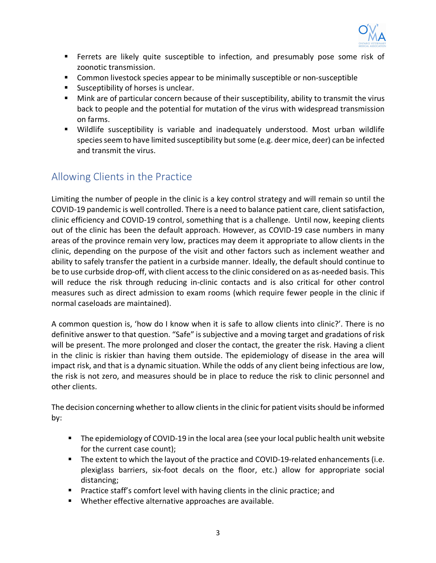

- § Ferrets are likely quite susceptible to infection, and presumably pose some risk of zoonotic transmission.
- Common livestock species appear to be minimally susceptible or non-susceptible
- Susceptibility of horses is unclear.
- Mink are of particular concern because of their susceptibility, ability to transmit the virus back to people and the potential for mutation of the virus with widespread transmission on farms.
- § Wildlife susceptibility is variable and inadequately understood. Most urban wildlife species seem to have limited susceptibility but some (e.g. deer mice, deer) can be infected and transmit the virus.

# Allowing Clients in the Practice

Limiting the number of people in the clinic is a key control strategy and will remain so until the COVID-19 pandemic is well controlled. There is a need to balance patient care, client satisfaction, clinic efficiency and COVID-19 control, something that is a challenge. Until now, keeping clients out of the clinic has been the default approach. However, as COVID-19 case numbers in many areas of the province remain very low, practices may deem it appropriate to allow clients in the clinic, depending on the purpose of the visit and other factors such as inclement weather and ability to safely transfer the patient in a curbside manner. Ideally, the default should continue to be to use curbside drop-off, with client access to the clinic considered on as as-needed basis. This will reduce the risk through reducing in-clinic contacts and is also critical for other control measures such as direct admission to exam rooms (which require fewer people in the clinic if normal caseloads are maintained).

A common question is, 'how do I know when it is safe to allow clients into clinic?'. There is no definitive answer to that question. "Safe" is subjective and a moving target and gradations of risk will be present. The more prolonged and closer the contact, the greater the risk. Having a client in the clinic is riskier than having them outside. The epidemiology of disease in the area will impact risk, and that is a dynamic situation. While the odds of any client being infectious are low, the risk is not zero, and measures should be in place to reduce the risk to clinic personnel and other clients.

The decision concerning whether to allow clients in the clinic for patient visits should be informed by:

- The epidemiology of COVID-19 in the local area (see your local public health unit website for the current case count);
- The extent to which the layout of the practice and COVID-19-related enhancements (i.e. plexiglass barriers, six-foot decals on the floor, etc.) allow for appropriate social distancing;
- **•** Practice staff's comfort level with having clients in the clinic practice; and
- Whether effective alternative approaches are available.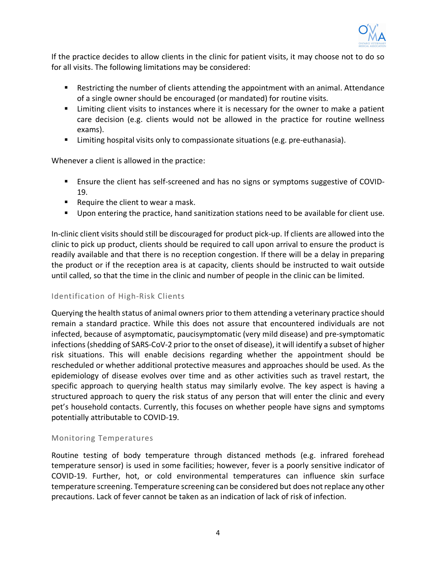

If the practice decides to allow clients in the clinic for patient visits, it may choose not to do so for all visits. The following limitations may be considered:

- Restricting the number of clients attending the appointment with an animal. Attendance of a single owner should be encouraged (or mandated) for routine visits.
- Limiting client visits to instances where it is necessary for the owner to make a patient care decision (e.g. clients would not be allowed in the practice for routine wellness exams).
- Limiting hospital visits only to compassionate situations (e.g. pre-euthanasia).

Whenever a client is allowed in the practice:

- Ensure the client has self-screened and has no signs or symptoms suggestive of COVID-19.
- Require the client to wear a mask.
- § Upon entering the practice, hand sanitization stations need to be available for client use.

In-clinic client visits should still be discouraged for product pick-up. If clients are allowed into the clinic to pick up product, clients should be required to call upon arrival to ensure the product is readily available and that there is no reception congestion. If there will be a delay in preparing the product or if the reception area is at capacity, clients should be instructed to wait outside until called, so that the time in the clinic and number of people in the clinic can be limited.

#### Identification of High-Risk Clients

Querying the health status of animal owners prior to them attending a veterinary practice should remain a standard practice. While this does not assure that encountered individuals are not infected, because of asymptomatic, paucisymptomatic (very mild disease) and pre-symptomatic infections (shedding of SARS-CoV-2 prior to the onset of disease), it will identify a subset of higher risk situations. This will enable decisions regarding whether the appointment should be rescheduled or whether additional protective measures and approaches should be used. As the epidemiology of disease evolves over time and as other activities such as travel restart, the specific approach to querying health status may similarly evolve. The key aspect is having a structured approach to query the risk status of any person that will enter the clinic and every pet's household contacts. Currently, this focuses on whether people have signs and symptoms potentially attributable to COVID-19.

#### Monitoring Temperatures

Routine testing of body temperature through distanced methods (e.g. infrared forehead temperature sensor) is used in some facilities; however, fever is a poorly sensitive indicator of COVID-19. Further, hot, or cold environmental temperatures can influence skin surface temperature screening. Temperature screening can be considered but does not replace any other precautions. Lack of fever cannot be taken as an indication of lack of risk of infection.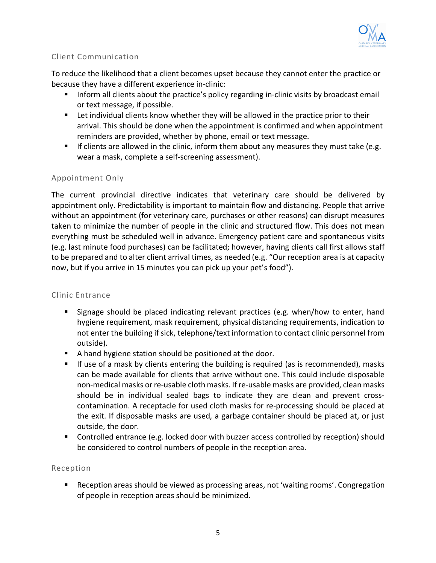

#### Client Communication

To reduce the likelihood that a client becomes upset because they cannot enter the practice or because they have a different experience in-clinic:

- **Inform all clients about the practice's policy regarding in-clinic visits by broadcast email** or text message, if possible.
- Let individual clients know whether they will be allowed in the practice prior to their arrival. This should be done when the appointment is confirmed and when appointment reminders are provided, whether by phone, email or text message.
- **•** If clients are allowed in the clinic, inform them about any measures they must take (e.g. wear a mask, complete a self-screening assessment).

#### Appointment Only

The current provincial directive indicates that veterinary care should be delivered by appointment only. Predictability is important to maintain flow and distancing. People that arrive without an appointment (for veterinary care, purchases or other reasons) can disrupt measures taken to minimize the number of people in the clinic and structured flow. This does not mean everything must be scheduled well in advance. Emergency patient care and spontaneous visits (e.g. last minute food purchases) can be facilitated; however, having clients call first allows staff to be prepared and to alter client arrival times, as needed (e.g. "Our reception area is at capacity now, but if you arrive in 15 minutes you can pick up your pet's food").

#### Clinic Entrance

- Signage should be placed indicating relevant practices (e.g. when/how to enter, hand hygiene requirement, mask requirement, physical distancing requirements, indication to not enter the building if sick, telephone/text information to contact clinic personnel from outside).
- A hand hygiene station should be positioned at the door.
- If use of a mask by clients entering the building is required (as is recommended), masks can be made available for clients that arrive without one. This could include disposable non-medical masks or re-usable cloth masks. If re-usable masks are provided, clean masks should be in individual sealed bags to indicate they are clean and prevent crosscontamination. A receptacle for used cloth masks for re-processing should be placed at the exit. If disposable masks are used, a garbage container should be placed at, or just outside, the door.
- Controlled entrance (e.g. locked door with buzzer access controlled by reception) should be considered to control numbers of people in the reception area.

#### Reception

■ Reception areas should be viewed as processing areas, not 'waiting rooms'. Congregation of people in reception areas should be minimized.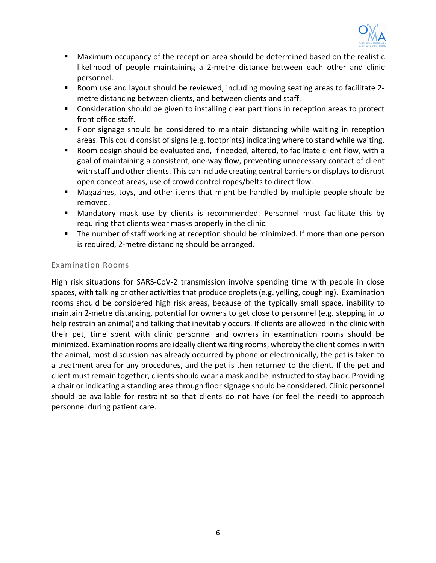

- Maximum occupancy of the reception area should be determined based on the realistic likelihood of people maintaining a 2-metre distance between each other and clinic personnel.
- Room use and layout should be reviewed, including moving seating areas to facilitate 2metre distancing between clients, and between clients and staff.
- Consideration should be given to installing clear partitions in reception areas to protect front office staff.
- Floor signage should be considered to maintain distancing while waiting in reception areas. This could consist of signs (e.g. footprints) indicating where to stand while waiting.
- Room design should be evaluated and, if needed, altered, to facilitate client flow, with a goal of maintaining a consistent, one-way flow, preventing unnecessary contact of client with staff and other clients. This can include creating central barriers or displays to disrupt open concept areas, use of crowd control ropes/belts to direct flow.
- § Magazines, toys, and other items that might be handled by multiple people should be removed.
- § Mandatory mask use by clients is recommended. Personnel must facilitate this by requiring that clients wear masks properly in the clinic.
- The number of staff working at reception should be minimized. If more than one person is required, 2-metre distancing should be arranged.

#### Examination Rooms

High risk situations for SARS-CoV-2 transmission involve spending time with people in close spaces, with talking or other activities that produce droplets (e.g. yelling, coughing). Examination rooms should be considered high risk areas, because of the typically small space, inability to maintain 2-metre distancing, potential for owners to get close to personnel (e.g. stepping in to help restrain an animal) and talking that inevitably occurs. If clients are allowed in the clinic with their pet, time spent with clinic personnel and owners in examination rooms should be minimized. Examination rooms are ideally client waiting rooms, whereby the client comes in with the animal, most discussion has already occurred by phone or electronically, the pet is taken to a treatment area for any procedures, and the pet is then returned to the client. If the pet and client must remain together, clients should wear a mask and be instructed to stay back. Providing a chair or indicating a standing area through floor signage should be considered. Clinic personnel should be available for restraint so that clients do not have (or feel the need) to approach personnel during patient care.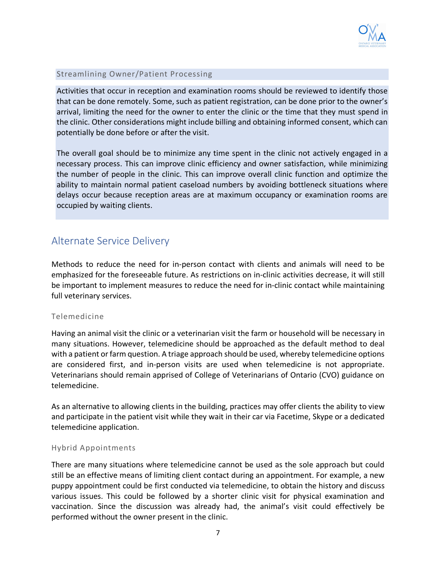

#### Streamlining Owner/Patient Processing

Activities that occur in reception and examination rooms should be reviewed to identify those that can be done remotely. Some, such as patient registration, can be done prior to the owner's arrival, limiting the need for the owner to enter the clinic or the time that they must spend in the clinic. Other considerations might include billing and obtaining informed consent, which can potentially be done before or after the visit.

The overall goal should be to minimize any time spent in the clinic not actively engaged in a necessary process. This can improve clinic efficiency and owner satisfaction, while minimizing the number of people in the clinic. This can improve overall clinic function and optimize the ability to maintain normal patient caseload numbers by avoiding bottleneck situations where delays occur because reception areas are at maximum occupancy or examination rooms are occupied by waiting clients.

# Alternate Service Delivery

Methods to reduce the need for in-person contact with clients and animals will need to be emphasized for the foreseeable future. As restrictions on in-clinic activities decrease, it will still be important to implement measures to reduce the need for in-clinic contact while maintaining full veterinary services.

#### Telemedicine

Having an animal visit the clinic or a veterinarian visit the farm or household will be necessary in many situations. However, telemedicine should be approached as the default method to deal with a patient or farm question. A triage approach should be used, whereby telemedicine options are considered first, and in-person visits are used when telemedicine is not appropriate. Veterinarians should remain apprised of College of Veterinarians of Ontario (CVO) guidance on telemedicine.

As an alternative to allowing clients in the building, practices may offer clients the ability to view and participate in the patient visit while they wait in their car via Facetime, Skype or a dedicated telemedicine application.

#### Hybrid Appointments

There are many situations where telemedicine cannot be used as the sole approach but could still be an effective means of limiting client contact during an appointment. For example, a new puppy appointment could be first conducted via telemedicine, to obtain the history and discuss various issues. This could be followed by a shorter clinic visit for physical examination and vaccination. Since the discussion was already had, the animal's visit could effectively be performed without the owner present in the clinic.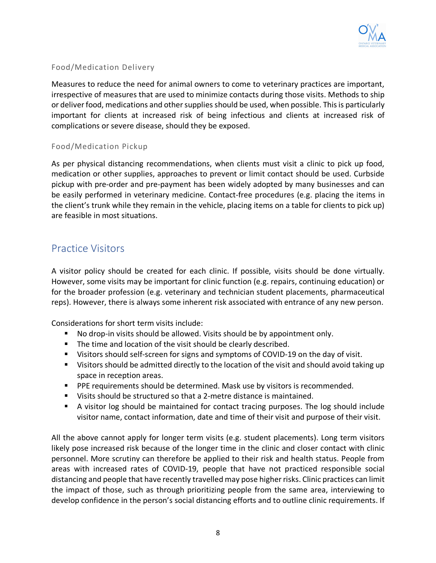

#### Food/Medication Delivery

Measures to reduce the need for animal owners to come to veterinary practices are important, irrespective of measures that are used to minimize contacts during those visits. Methods to ship or deliver food, medications and other supplies should be used, when possible. This is particularly important for clients at increased risk of being infectious and clients at increased risk of complications or severe disease, should they be exposed.

#### Food/Medication Pickup

As per physical distancing recommendations, when clients must visit a clinic to pick up food, medication or other supplies, approaches to prevent or limit contact should be used. Curbside pickup with pre-order and pre-payment has been widely adopted by many businesses and can be easily performed in veterinary medicine. Contact-free procedures (e.g. placing the items in the client's trunk while they remain in the vehicle, placing items on a table for clients to pick up) are feasible in most situations.

### Practice Visitors

A visitor policy should be created for each clinic. If possible, visits should be done virtually. However, some visits may be important for clinic function (e.g. repairs, continuing education) or for the broader profession (e.g. veterinary and technician student placements, pharmaceutical reps). However, there is always some inherent risk associated with entrance of any new person.

Considerations for short term visits include:

- No drop-in visits should be allowed. Visits should be by appointment only.
- The time and location of the visit should be clearly described.
- Visitors should self-screen for signs and symptoms of COVID-19 on the day of visit.
- Visitors should be admitted directly to the location of the visit and should avoid taking up space in reception areas.
- **PPE requirements should be determined. Mask use by visitors is recommended.**
- Visits should be structured so that a 2-metre distance is maintained.
- § A visitor log should be maintained for contact tracing purposes. The log should include visitor name, contact information, date and time of their visit and purpose of their visit.

All the above cannot apply for longer term visits (e.g. student placements). Long term visitors likely pose increased risk because of the longer time in the clinic and closer contact with clinic personnel. More scrutiny can therefore be applied to their risk and health status. People from areas with increased rates of COVID-19, people that have not practiced responsible social distancing and people that have recently travelled may pose higher risks. Clinic practices can limit the impact of those, such as through prioritizing people from the same area, interviewing to develop confidence in the person's social distancing efforts and to outline clinic requirements. If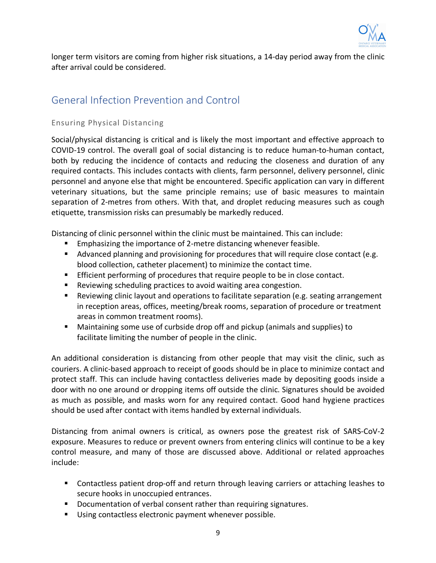

longer term visitors are coming from higher risk situations, a 14-day period away from the clinic after arrival could be considered.

# General Infection Prevention and Control

#### Ensuring Physical Distancing

Social/physical distancing is critical and is likely the most important and effective approach to COVID-19 control. The overall goal of social distancing is to reduce human-to-human contact, both by reducing the incidence of contacts and reducing the closeness and duration of any required contacts. This includes contacts with clients, farm personnel, delivery personnel, clinic personnel and anyone else that might be encountered. Specific application can vary in different veterinary situations, but the same principle remains; use of basic measures to maintain separation of 2-metres from others. With that, and droplet reducing measures such as cough etiquette, transmission risks can presumably be markedly reduced.

Distancing of clinic personnel within the clinic must be maintained. This can include:

- Emphasizing the importance of 2-metre distancing whenever feasible.
- Advanced planning and provisioning for procedures that will require close contact (e.g. blood collection, catheter placement) to minimize the contact time.
- **Efficient performing of procedures that require people to be in close contact.**
- Reviewing scheduling practices to avoid waiting area congestion.
- Reviewing clinic layout and operations to facilitate separation (e.g. seating arrangement in reception areas, offices, meeting/break rooms, separation of procedure or treatment areas in common treatment rooms).
- Maintaining some use of curbside drop off and pickup (animals and supplies) to facilitate limiting the number of people in the clinic.

An additional consideration is distancing from other people that may visit the clinic, such as couriers. A clinic-based approach to receipt of goods should be in place to minimize contact and protect staff. This can include having contactless deliveries made by depositing goods inside a door with no one around or dropping items off outside the clinic. Signatures should be avoided as much as possible, and masks worn for any required contact. Good hand hygiene practices should be used after contact with items handled by external individuals.

Distancing from animal owners is critical, as owners pose the greatest risk of SARS-CoV-2 exposure. Measures to reduce or prevent owners from entering clinics will continue to be a key control measure, and many of those are discussed above. Additional or related approaches include:

- Contactless patient drop-off and return through leaving carriers or attaching leashes to secure hooks in unoccupied entrances.
- Documentation of verbal consent rather than requiring signatures.
- Using contactless electronic payment whenever possible.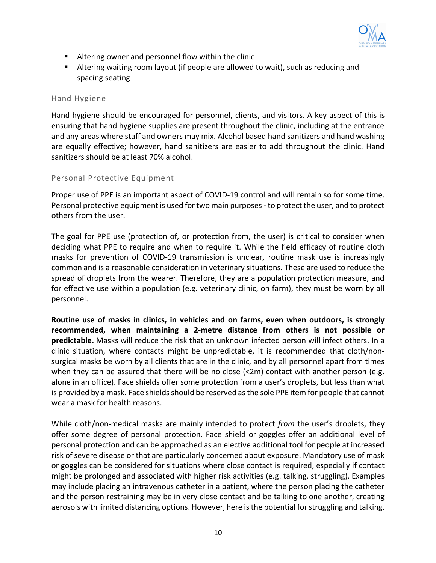

- Altering owner and personnel flow within the clinic
- Altering waiting room layout (if people are allowed to wait), such as reducing and spacing seating

#### Hand Hygiene

Hand hygiene should be encouraged for personnel, clients, and visitors. A key aspect of this is ensuring that hand hygiene supplies are present throughout the clinic, including at the entrance and any areas where staff and owners may mix. Alcohol based hand sanitizers and hand washing are equally effective; however, hand sanitizers are easier to add throughout the clinic. Hand sanitizers should be at least 70% alcohol.

#### Personal Protective Equipment

Proper use of PPE is an important aspect of COVID-19 control and will remain so for some time. Personal protective equipment is used for two main purposes - to protect the user, and to protect others from the user.

The goal for PPE use (protection of, or protection from, the user) is critical to consider when deciding what PPE to require and when to require it. While the field efficacy of routine cloth masks for prevention of COVID-19 transmission is unclear, routine mask use is increasingly common and is a reasonable consideration in veterinary situations. These are used to reduce the spread of droplets from the wearer. Therefore, they are a population protection measure, and for effective use within a population (e.g. veterinary clinic, on farm), they must be worn by all personnel.

**Routine use of masks in clinics, in vehicles and on farms, even when outdoors, is strongly recommended, when maintaining a 2-metre distance from others is not possible or predictable.** Masks will reduce the risk that an unknown infected person will infect others. In a clinic situation, where contacts might be unpredictable, it is recommended that cloth/nonsurgical masks be worn by all clients that are in the clinic, and by all personnel apart from times when they can be assured that there will be no close  $\langle$ <2m) contact with another person (e.g. alone in an office). Face shields offer some protection from a user's droplets, but less than what is provided by a mask. Face shields should be reserved as the sole PPE item for people that cannot wear a mask for health reasons.

While cloth/non-medical masks are mainly intended to protect *from* the user's droplets, they offer some degree of personal protection. Face shield or goggles offer an additional level of personal protection and can be approached as an elective additional tool for people at increased risk of severe disease or that are particularly concerned about exposure. Mandatory use of mask or goggles can be considered for situations where close contact is required, especially if contact might be prolonged and associated with higher risk activities (e.g. talking, struggling). Examples may include placing an intravenous catheter in a patient, where the person placing the catheter and the person restraining may be in very close contact and be talking to one another, creating aerosols with limited distancing options. However, here is the potential for struggling and talking.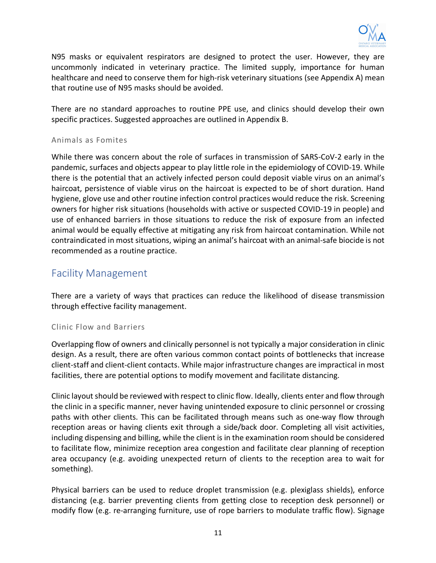

N95 masks or equivalent respirators are designed to protect the user. However, they are uncommonly indicated in veterinary practice. The limited supply, importance for human healthcare and need to conserve them for high-risk veterinary situations (see Appendix A) mean that routine use of N95 masks should be avoided.

There are no standard approaches to routine PPE use, and clinics should develop their own specific practices. Suggested approaches are outlined in Appendix B.

#### Animals as Fomites

While there was concern about the role of surfaces in transmission of SARS-CoV-2 early in the pandemic, surfaces and objects appear to play little role in the epidemiology of COVID-19. While there is the potential that an actively infected person could deposit viable virus on an animal's haircoat, persistence of viable virus on the haircoat is expected to be of short duration. Hand hygiene, glove use and other routine infection control practices would reduce the risk. Screening owners for higher risk situations (households with active or suspected COVID-19 in people) and use of enhanced barriers in those situations to reduce the risk of exposure from an infected animal would be equally effective at mitigating any risk from haircoat contamination. While not contraindicated in most situations, wiping an animal's haircoat with an animal-safe biocide is not recommended as a routine practice.

### Facility Management

There are a variety of ways that practices can reduce the likelihood of disease transmission through effective facility management.

#### Clinic Flow and Barriers

Overlapping flow of owners and clinically personnel is not typically a major consideration in clinic design. As a result, there are often various common contact points of bottlenecks that increase client-staff and client-client contacts. While major infrastructure changes are impractical in most facilities, there are potential options to modify movement and facilitate distancing.

Clinic layout should be reviewed with respect to clinic flow. Ideally, clients enter and flow through the clinic in a specific manner, never having unintended exposure to clinic personnel or crossing paths with other clients. This can be facilitated through means such as one-way flow through reception areas or having clients exit through a side/back door. Completing all visit activities, including dispensing and billing, while the client is in the examination room should be considered to facilitate flow, minimize reception area congestion and facilitate clear planning of reception area occupancy (e.g. avoiding unexpected return of clients to the reception area to wait for something).

Physical barriers can be used to reduce droplet transmission (e.g. plexiglass shields), enforce distancing (e.g. barrier preventing clients from getting close to reception desk personnel) or modify flow (e.g. re-arranging furniture, use of rope barriers to modulate traffic flow). Signage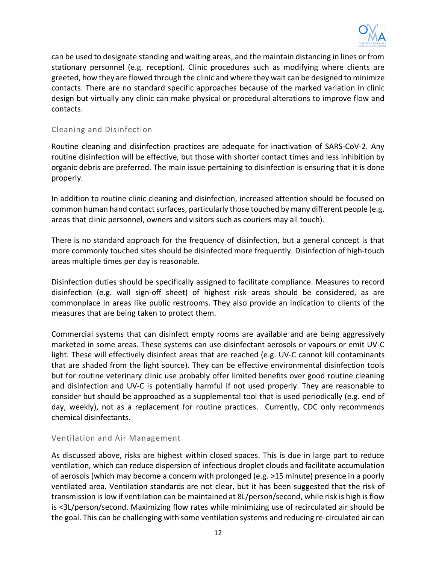

can be used to designate standing and waiting areas, and the maintain distancing in lines or from stationary personnel (e.g. reception). Clinic procedures such as modifying where clients are greeted, how they are flowed through the clinic and where they wait can be designed to minimize contacts. There are no standard specific approaches because of the marked variation in clinic design but virtually any clinic can make physical or procedural alterations to improve flow and contacts.

#### Cleaning and Disinfection

Routine cleaning and disinfection practices are adequate for inactivation of SARS-CoV-2. Any routine disinfection will be effective, but those with shorter contact times and less inhibition by organic debris are preferred. The main issue pertaining to disinfection is ensuring that it is done properly.

In addition to routine clinic cleaning and disinfection, increased attention should be focused on common human hand contact surfaces, particularly those touched by many different people (e.g. areas that clinic personnel, owners and visitors such as couriers may all touch).

There is no standard approach for the frequency of disinfection, but a general concept is that more commonly touched sites should be disinfected more frequently. Disinfection of high-touch areas multiple times per day is reasonable.

Disinfection duties should be specifically assigned to facilitate compliance. Measures to record disinfection (e.g. wall sign-off sheet) of highest risk areas should be considered, as are commonplace in areas like public restrooms. They also provide an indication to clients of the measures that are being taken to protect them.

Commercial systems that can disinfect empty rooms are available and are being aggressively marketed in some areas. These systems can use disinfectant aerosols or vapours or emit UV-C light. These will effectively disinfect areas that are reached (e.g. UV-C cannot kill contaminants that are shaded from the light source). They can be effective environmental disinfection tools but for routine veterinary clinic use probably offer limited benefits over good routine cleaning and disinfection and UV-C is potentially harmful if not used properly. They are reasonable to consider but should be approached as a supplemental tool that is used periodically (e.g. end of day, weekly), not as a replacement for routine practices. Currently, CDC only recommends chemical disinfectants.

#### Ventilation and Air Management

As discussed above, risks are highest within closed spaces. This is due in large part to reduce ventilation, which can reduce dispersion of infectious droplet clouds and facilitate accumulation of aerosols (which may become a concern with prolonged (e.g. >15 minute) presence in a poorly ventilated area. Ventilation standards are not clear, but it has been suggested that the risk of transmission is low if ventilation can be maintained at 8L/person/second, while risk is high is flow is <3L/person/second. Maximizing flow rates while minimizing use of recirculated air should be the goal. This can be challenging with some ventilation systems and reducing re-circulated air can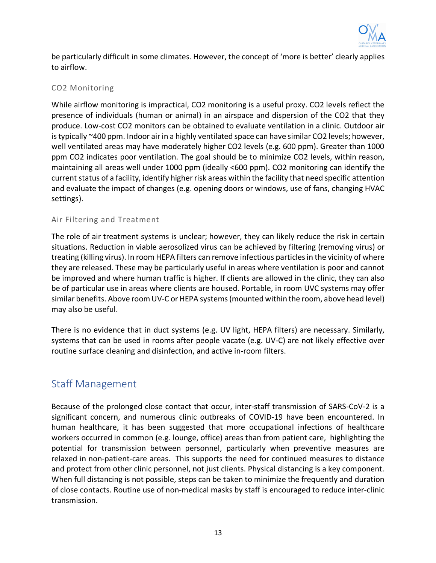

be particularly difficult in some climates. However, the concept of 'more is better' clearly applies to airflow.

#### CO2 Monitoring

While airflow monitoring is impractical, CO2 monitoring is a useful proxy. CO2 levels reflect the presence of individuals (human or animal) in an airspace and dispersion of the CO2 that they produce. Low-cost CO2 monitors can be obtained to evaluate ventilation in a clinic. Outdoor air is typically ~400 ppm. Indoor air in a highly ventilated space can have similar CO2 levels; however, well ventilated areas may have moderately higher CO2 levels (e.g. 600 ppm). Greater than 1000 ppm CO2 indicates poor ventilation. The goal should be to minimize CO2 levels, within reason, maintaining all areas well under 1000 ppm (ideally <600 ppm). CO2 monitoring can identify the current status of a facility, identify higher risk areas within the facility that need specific attention and evaluate the impact of changes (e.g. opening doors or windows, use of fans, changing HVAC settings).

#### Air Filtering and Treatment

The role of air treatment systems is unclear; however, they can likely reduce the risk in certain situations. Reduction in viable aerosolized virus can be achieved by filtering (removing virus) or treating (killing virus). In room HEPA filters can remove infectious particles in the vicinity of where they are released. These may be particularly useful in areas where ventilation is poor and cannot be improved and where human traffic is higher. If clients are allowed in the clinic, they can also be of particular use in areas where clients are housed. Portable, in room UVC systems may offer similar benefits. Above room UV-C or HEPA systems (mounted within the room, above head level) may also be useful.

There is no evidence that in duct systems (e.g. UV light, HEPA filters) are necessary. Similarly, systems that can be used in rooms after people vacate (e.g. UV-C) are not likely effective over routine surface cleaning and disinfection, and active in-room filters.

### Staff Management

Because of the prolonged close contact that occur, inter-staff transmission of SARS-CoV-2 is a significant concern, and numerous clinic outbreaks of COVID-19 have been encountered. In human healthcare, it has been suggested that more occupational infections of healthcare workers occurred in common (e.g. lounge, office) areas than from patient care, highlighting the potential for transmission between personnel, particularly when preventive measures are relaxed in non-patient-care areas. This supports the need for continued measures to distance and protect from other clinic personnel, not just clients. Physical distancing is a key component. When full distancing is not possible, steps can be taken to minimize the frequently and duration of close contacts. Routine use of non-medical masks by staff is encouraged to reduce inter-clinic transmission.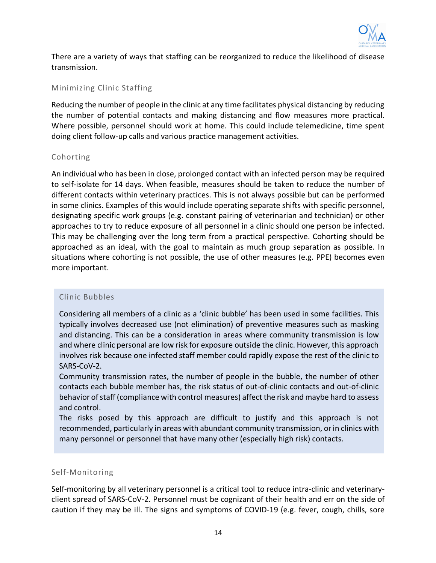

There are a variety of ways that staffing can be reorganized to reduce the likelihood of disease transmission.

#### Minimizing Clinic Staffing

Reducing the number of people in the clinic at any time facilitates physical distancing by reducing the number of potential contacts and making distancing and flow measures more practical. Where possible, personnel should work at home. This could include telemedicine, time spent doing client follow-up calls and various practice management activities.

#### Cohorting

An individual who has been in close, prolonged contact with an infected person may be required to self-isolate for 14 days. When feasible, measures should be taken to reduce the number of different contacts within veterinary practices. This is not always possible but can be performed in some clinics. Examples of this would include operating separate shifts with specific personnel, designating specific work groups (e.g. constant pairing of veterinarian and technician) or other approaches to try to reduce exposure of all personnel in a clinic should one person be infected. This may be challenging over the long term from a practical perspective. Cohorting should be approached as an ideal, with the goal to maintain as much group separation as possible. In situations where cohorting is not possible, the use of other measures (e.g. PPE) becomes even more important.

#### Clinic Bubbles

Considering all members of a clinic as a 'clinic bubble' has been used in some facilities. This typically involves decreased use (not elimination) of preventive measures such as masking and distancing. This can be a consideration in areas where community transmission is low and where clinic personal are low risk for exposure outside the clinic. However, this approach involves risk because one infected staff member could rapidly expose the rest of the clinic to SARS-CoV-2.

Community transmission rates, the number of people in the bubble, the number of other contacts each bubble member has, the risk status of out-of-clinic contacts and out-of-clinic behavior of staff (compliance with control measures) affect the risk and maybe hard to assess and control.

The risks posed by this approach are difficult to justify and this approach is not recommended, particularly in areas with abundant community transmission, or in clinics with many personnel or personnel that have many other (especially high risk) contacts.

#### Self-Monitoring

Self-monitoring by all veterinary personnel is a critical tool to reduce intra-clinic and veterinaryclient spread of SARS-CoV-2. Personnel must be cognizant of their health and err on the side of caution if they may be ill. The signs and symptoms of COVID-19 (e.g. fever, cough, chills, sore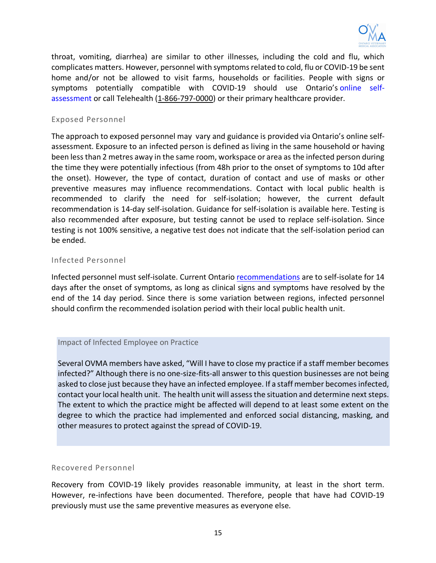

throat, vomiting, diarrhea) are similar to other illnesses, including the cold and flu, which complicates matters. However, personnel with symptoms related to cold, flu or COVID-19 be sent home and/or not be allowed to visit farms, households or facilities. People with signs or symptoms potentially compatible with COVID-19 should use Ontario's online selfassessment or call Telehealth (1-866-797-0000) or their primary healthcare provider.

#### Exposed Personnel

The approach to exposed personnel may vary and guidance is provided via Ontario's online selfassessment. Exposure to an infected person is defined as living in the same household or having been less than 2 metres away in the same room, workspace or area as the infected person during the time they were potentially infectious (from 48h prior to the onset of symptoms to 10d after the onset). However, the type of contact, duration of contact and use of masks or other preventive measures may influence recommendations. Contact with local public health is recommended to clarify the need for self-isolation; however, the current default recommendation is 14-day self-isolation. Guidance for self-isolation is available here. Testing is also recommended after exposure, but testing cannot be used to replace self-isolation. Since testing is not 100% sensitive, a negative test does not indicate that the self-isolation period can be ended.

#### Infected Personnel

Infected personnel must self-isolate. Current Ontario recommendations are to self-isolate for 14 days after the onset of symptoms, as long as clinical signs and symptoms have resolved by the end of the 14 day period. Since there is some variation between regions, infected personnel should confirm the recommended isolation period with their local public health unit.

#### Impact of Infected Employee on Practice

Several OVMA members have asked, "Will I have to close my practice if a staff member becomes infected?" Although there is no one-size-fits-all answer to this question businesses are not being asked to close just because they have an infected employee. If a staff member becomes infected, contact your local health unit. The health unit will assess the situation and determine next steps. The extent to which the practice might be affected will depend to at least some extent on the degree to which the practice had implemented and enforced social distancing, masking, and other measures to protect against the spread of COVID-19.

#### Recovered Personnel

Recovery from COVID-19 likely provides reasonable immunity, at least in the short term. However, re-infections have been documented. Therefore, people that have had COVID-19 previously must use the same preventive measures as everyone else.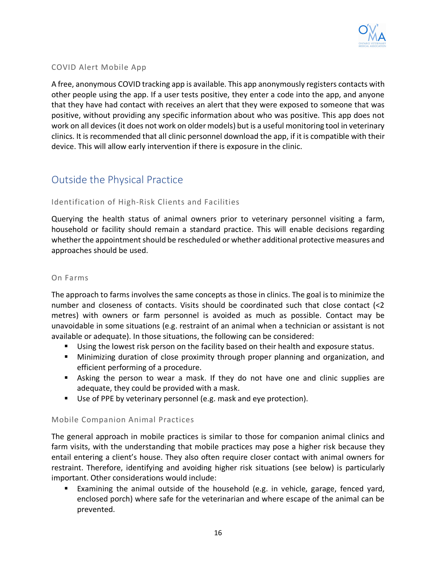

#### COVID Alert Mobile App

A free, anonymous COVID tracking app is available. This app anonymously registers contacts with other people using the app. If a user tests positive, they enter a code into the app, and anyone that they have had contact with receives an alert that they were exposed to someone that was positive, without providing any specific information about who was positive. This app does not work on all devices (it does not work on older models) but is a useful monitoring tool in veterinary clinics. It is recommended that all clinic personnel download the app, if it is compatible with their device. This will allow early intervention if there is exposure in the clinic.

# Outside the Physical Practice

#### Identification of High-Risk Clients and Facilities

Querying the health status of animal owners prior to veterinary personnel visiting a farm, household or facility should remain a standard practice. This will enable decisions regarding whether the appointment should be rescheduled or whether additional protective measures and approaches should be used.

#### On Farms

The approach to farms involves the same concepts as those in clinics. The goal is to minimize the number and closeness of contacts. Visits should be coordinated such that close contact (<2 metres) with owners or farm personnel is avoided as much as possible. Contact may be unavoidable in some situations (e.g. restraint of an animal when a technician or assistant is not available or adequate). In those situations, the following can be considered:

- Using the lowest risk person on the facility based on their health and exposure status.
- **■** Minimizing duration of close proximity through proper planning and organization, and efficient performing of a procedure.
- Asking the person to wear a mask. If they do not have one and clinic supplies are adequate, they could be provided with a mask.
- Use of PPE by veterinary personnel (e.g. mask and eye protection).

#### Mobile Companion Animal Practices

The general approach in mobile practices is similar to those for companion animal clinics and farm visits, with the understanding that mobile practices may pose a higher risk because they entail entering a client's house. They also often require closer contact with animal owners for restraint. Therefore, identifying and avoiding higher risk situations (see below) is particularly important. Other considerations would include:

Examining the animal outside of the household (e.g. in vehicle, garage, fenced yard, enclosed porch) where safe for the veterinarian and where escape of the animal can be prevented.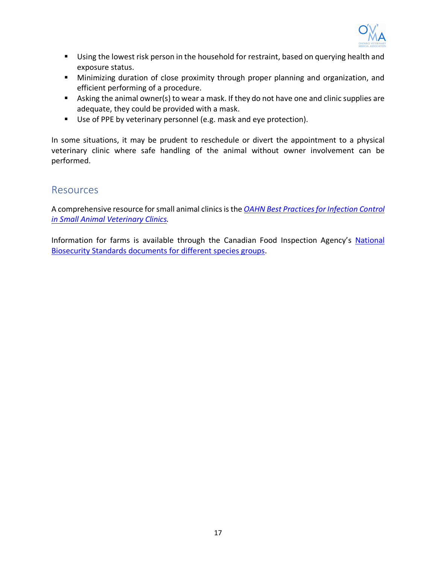

- Using the lowest risk person in the household for restraint, based on querying health and exposure status.
- Minimizing duration of close proximity through proper planning and organization, and efficient performing of a procedure.
- Asking the animal owner(s) to wear a mask. If they do not have one and clinic supplies are adequate, they could be provided with a mask.
- Use of PPE by veterinary personnel (e.g. mask and eye protection).

In some situations, it may be prudent to reschedule or divert the appointment to a physical veterinary clinic where safe handling of the animal without owner involvement can be performed.

### **Resources**

A comprehensive resource for small animal clinics is the *OAHN Best Practices for Infection Control in Small Animal Veterinary Clinics.* 

Information for farms is available through the Canadian Food Inspection Agency's National Biosecurity Standards documents for different species groups.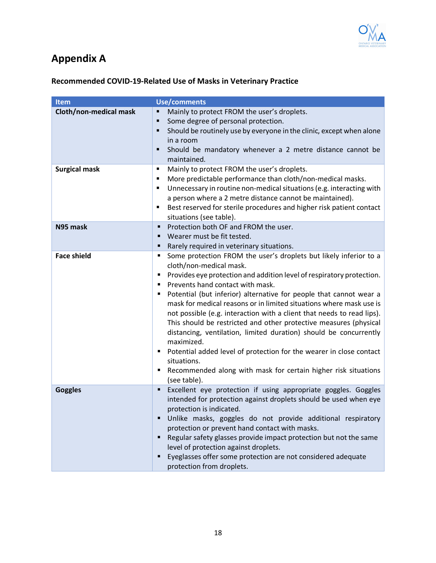

# **Appendix A**

# **Recommended COVID-19-Related Use of Masks in Veterinary Practice**

| <b>Item</b>            | Use/comments                                                                                                                                                                                                                                                                                                                                                                                                                                                                                                                                                                                                                                                                                                                                                                     |
|------------------------|----------------------------------------------------------------------------------------------------------------------------------------------------------------------------------------------------------------------------------------------------------------------------------------------------------------------------------------------------------------------------------------------------------------------------------------------------------------------------------------------------------------------------------------------------------------------------------------------------------------------------------------------------------------------------------------------------------------------------------------------------------------------------------|
| Cloth/non-medical mask | Mainly to protect FROM the user's droplets.<br>Some degree of personal protection.<br>٠<br>Should be routinely use by everyone in the clinic, except when alone<br>in a room<br>Should be mandatory whenever a 2 metre distance cannot be<br>maintained.                                                                                                                                                                                                                                                                                                                                                                                                                                                                                                                         |
| <b>Surgical mask</b>   | Mainly to protect FROM the user's droplets.<br>٠<br>More predictable performance than cloth/non-medical masks.<br>٠<br>Unnecessary in routine non-medical situations (e.g. interacting with<br>٠<br>a person where a 2 metre distance cannot be maintained).<br>Best reserved for sterile procedures and higher risk patient contact<br>٠<br>situations (see table).                                                                                                                                                                                                                                                                                                                                                                                                             |
| N95 mask               | Protection both OF and FROM the user.<br>٠<br>Wearer must be fit tested.<br>٠<br>Rarely required in veterinary situations.<br>٠                                                                                                                                                                                                                                                                                                                                                                                                                                                                                                                                                                                                                                                  |
| <b>Face shield</b>     | Some protection FROM the user's droplets but likely inferior to a<br>٠<br>cloth/non-medical mask.<br>" Provides eye protection and addition level of respiratory protection.<br>• Prevents hand contact with mask.<br>• Potential (but inferior) alternative for people that cannot wear a<br>mask for medical reasons or in limited situations where mask use is<br>not possible (e.g. interaction with a client that needs to read lips).<br>This should be restricted and other protective measures (physical<br>distancing, ventilation, limited duration) should be concurrently<br>maximized.<br>Potential added level of protection for the wearer in close contact<br>٠<br>situations.<br>Recommended along with mask for certain higher risk situations<br>(see table). |
| <b>Goggles</b>         | Excellent eye protection if using appropriate goggles. Goggles<br>٠<br>intended for protection against droplets should be used when eye<br>protection is indicated.<br>Unlike masks, goggles do not provide additional respiratory<br>protection or prevent hand contact with masks.<br>Regular safety glasses provide impact protection but not the same<br>level of protection against droplets.<br>Eyeglasses offer some protection are not considered adequate<br>protection from droplets.                                                                                                                                                                                                                                                                                  |